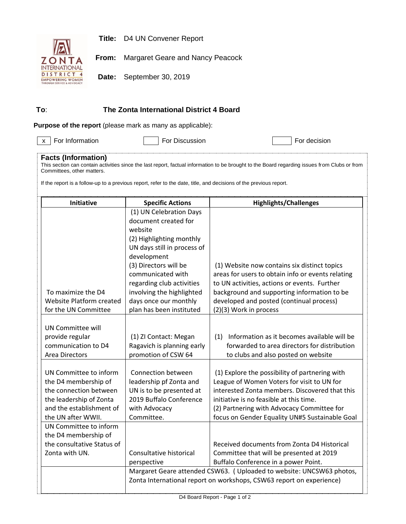



**From:** Margaret Geare and Nancy Peacock

**Date:** September 30, 2019

## **To**: **The Zonta International District 4 Board**

**Purpose of the report** (please mark as many as applicable):

 $\overline{x}$  For Information **For Discussion** For Discussion **For decision** 

## **Facts (Information)**

This section can contain activities since the last report, factual information to be brought to the Board regarding issues from Clubs or from Committees, other matters.

If the report is a follow-up to a previous report, refer to the date, title, and decisions of the previous report.

| <b>Initiative</b>                      | <b>Specific Actions</b>                                               | <b>Highlights/Challenges</b>                                                                    |  |  |  |
|----------------------------------------|-----------------------------------------------------------------------|-------------------------------------------------------------------------------------------------|--|--|--|
|                                        | (1) UN Celebration Days                                               |                                                                                                 |  |  |  |
|                                        | document created for                                                  |                                                                                                 |  |  |  |
|                                        | website                                                               |                                                                                                 |  |  |  |
|                                        | (2) Highlighting monthly                                              |                                                                                                 |  |  |  |
|                                        | UN days still in process of                                           |                                                                                                 |  |  |  |
|                                        | development                                                           |                                                                                                 |  |  |  |
|                                        | (3) Directors will be                                                 | (1) Website now contains six distinct topics                                                    |  |  |  |
|                                        | communicated with                                                     | areas for users to obtain info or events relating                                               |  |  |  |
|                                        | regarding club activities                                             | to UN activities, actions or events. Further                                                    |  |  |  |
| To maximize the D4                     | involving the highlighted                                             | background and supporting information to be                                                     |  |  |  |
| Website Platform created               | days once our monthly                                                 | developed and posted (continual process)                                                        |  |  |  |
| for the UN Committee                   | plan has been instituted                                              | (2)(3) Work in process                                                                          |  |  |  |
|                                        |                                                                       |                                                                                                 |  |  |  |
| <b>UN Committee will</b>               |                                                                       |                                                                                                 |  |  |  |
| provide regular<br>communication to D4 | (1) ZI Contact: Megan                                                 | (1) Information as it becomes available will be<br>forwarded to area directors for distribution |  |  |  |
| <b>Area Directors</b>                  | Ragavich is planning early<br>promotion of CSW 64                     | to clubs and also posted on website                                                             |  |  |  |
|                                        |                                                                       |                                                                                                 |  |  |  |
| UN Committee to inform                 | Connection between                                                    | (1) Explore the possibility of partnering with                                                  |  |  |  |
| the D4 membership of                   | leadership pf Zonta and                                               | League of Women Voters for visit to UN for                                                      |  |  |  |
| the connection between                 | UN is to be presented at                                              | interested Zonta members. Discovered that this                                                  |  |  |  |
| the leadership of Zonta                | 2019 Buffalo Conference                                               | initiative is no feasible at this time.                                                         |  |  |  |
| and the establishment of               | with Advocacy                                                         | (2) Partnering with Advocacy Committee for                                                      |  |  |  |
| the UN after WWII.                     | Committee.                                                            | focus on Gender Equality UN#5 Sustainable Goal                                                  |  |  |  |
| UN Committee to inform                 |                                                                       |                                                                                                 |  |  |  |
| the D4 membership of                   |                                                                       |                                                                                                 |  |  |  |
| the consultative Status of             |                                                                       | Received documents from Zonta D4 Historical                                                     |  |  |  |
| Zonta with UN.                         | Consultative historical                                               | Committee that will be presented at 2019                                                        |  |  |  |
|                                        | perspective                                                           | Buffalo Conference in a power Point.                                                            |  |  |  |
|                                        | Margaret Geare attended CSW63. ( Uploaded to website: UNCSW63 photos, |                                                                                                 |  |  |  |
|                                        | Zonta International report on workshops, CSW63 report on experience)  |                                                                                                 |  |  |  |
|                                        |                                                                       |                                                                                                 |  |  |  |